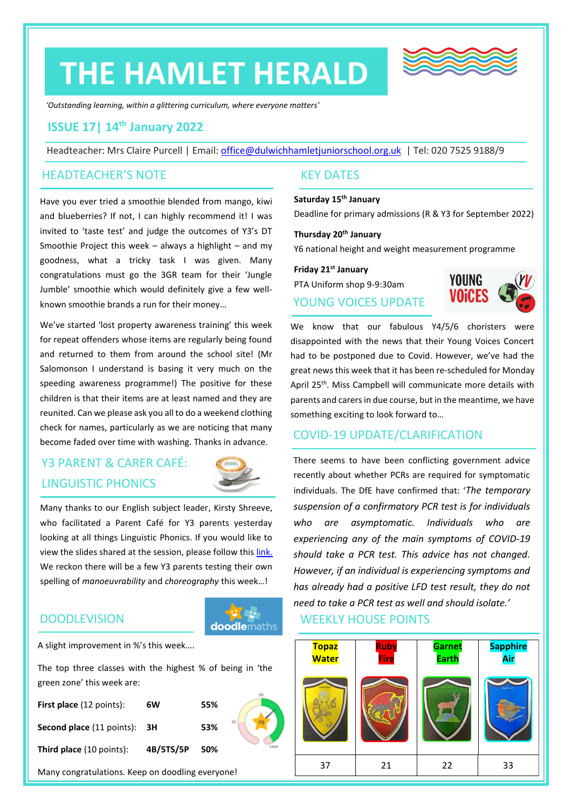# **THE HAMLET HERALD**



*'Outstanding learning, within a glittering curriculum, where everyone matters'*

## **ISSUE 17| 14th January 2022**

Headteacher: Mrs Claire Purcell | Email: [office@dulwichhamletjuniorschool.org.uk](mailto:office@dulwichhamletjuniorschool.org.uk) | Tel: 020 7525 9188/9

#### HEADTEACHER'S NOTE

Have you ever tried a smoothie blended from mango, kiwi and blueberries? If not, I can highly recommend it! I was invited to 'taste test' and judge the outcomes of Y3's DT Smoothie Project this week – always a highlight – and my goodness, what a tricky task I was given. Many congratulations must go the 3GR team for their 'Jungle Jumble' smoothie which would definitely give a few wellknown smoothie brands a run for their money…

We've started 'lost property awareness training' this week for repeat offenders whose items are regularly being found and returned to them from around the school site! (Mr Salomonson I understand is basing it very much on the speeding awareness programme!) The positive for these children is that their items are at least named and they are reunited. Can we please ask you all to do a weekend clothing check for names, particularly as we are noticing that many become faded over time with washing. Thanks in advance.

# Y3 PARENT & CARER CAFÉ: LINGUISTIC PHONICS



Many thanks to our English subject leader, Kirsty Shreeve, who facilitated a Parent Café for Y3 parents yesterday looking at all things Linguistic Phonics. If you would like to view the slides shared at the session, please follow this [link.](http://www.dulwichhamletjuniorschool.org.uk/parent--carer-cafes.html) We reckon there will be a few Y3 parents testing their own spelling of *manoeuvrability* and *choreography* this week…!

#### **DOODLEVISION**

**doodlemaths** 

A slight improvement in %'s this week….

The top three classes with the highest % of being in 'the green zone' this week are:

| <b>First place</b> (12 points):     | 6W        | 55% |  |
|-------------------------------------|-----------|-----|--|
| <b>Second place (11 points): 3H</b> |           | 53% |  |
| <b>Third place</b> (10 points):     | 4B/5TS/5P | 50% |  |

Many congratulations. Keep on doodling everyone!

#### KEY DATES

#### **Saturday 15th January**

Deadline for primary admissions (R & Y3 for September 2022)

## **Thursday 20th January**

Y6 national height and weight measurement programme

**Friday 21st January** PTA Uniform shop 9-9:30am YOUNG VOICES UPDATE



We know that our fabulous Y4/5/6 choristers were disappointed with the news that their Young Voices Concert had to be postponed due to Covid. However, we've had the great news this week that it has been re-scheduled for Monday April 25<sup>th</sup>. Miss Campbell will communicate more details with parents and carers in due course, but in the meantime, we have something exciting to look forward to…

## COVID-19 UPDATE/CLARIFICATION

There seems to have been conflicting government advice recently about whether PCRs are required for symptomatic individuals. The DfE have confirmed that: '*The temporary suspension of a confirmatory PCR test is for individuals who are asymptomatic. Individuals who are experiencing any of the main symptoms of COVID-19 should take a PCR test. This advice has not changed. However, if an individual is experiencing symptoms and has already had a positive LFD test result, they do not need to take a PCR test as well and should isolate.'*

### WEEKLY HOUSE POINTS

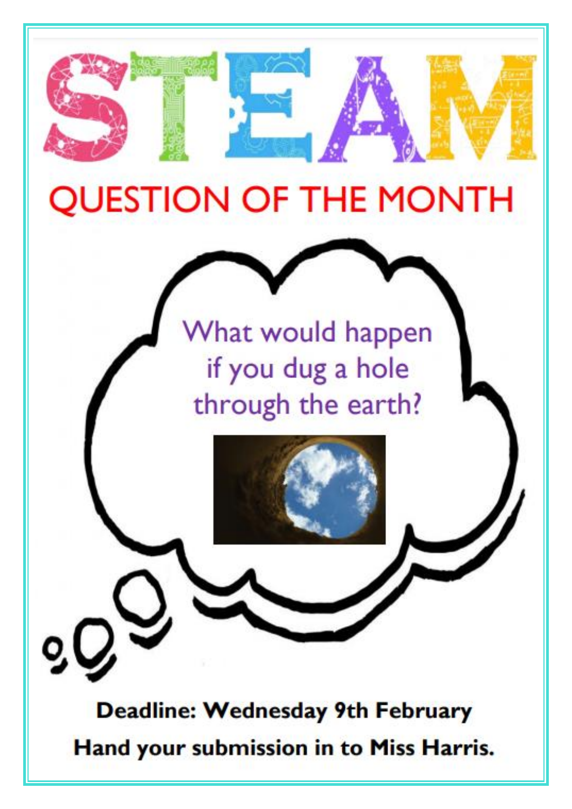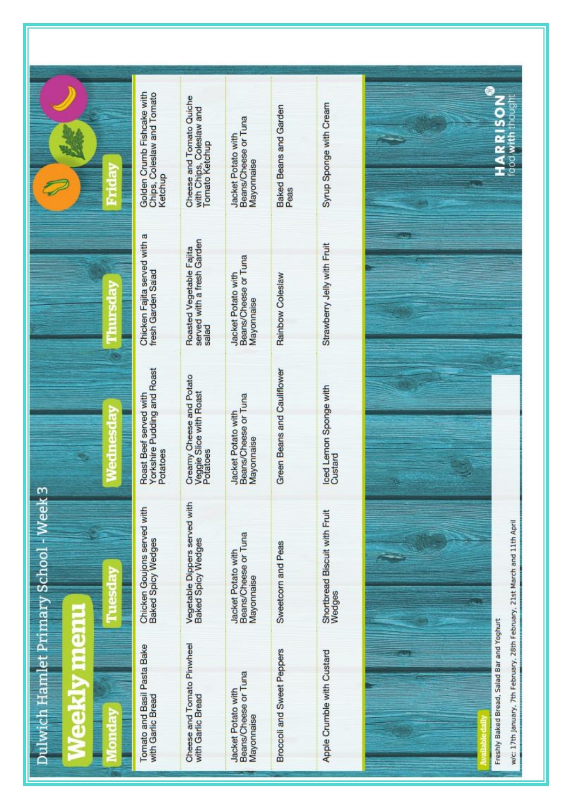|                                        | Golden Crumb Fishcake with<br>Chips, Coleslaw and Tomato<br>Ketchup | Cheese and Tomato Quiche<br>with Chips, Coleslaw and<br>Tomato Ketchup | Beans/Cheese or Tuna<br>Jacket Potato with<br>Mayonnaise | <b>Baked Beans and Garden</b><br>Peas | Syrup Sponge with Cream                 | ٥<br>ŭ<br>œ<br>₹<br>goo                                                                                                 |
|----------------------------------------|---------------------------------------------------------------------|------------------------------------------------------------------------|----------------------------------------------------------|---------------------------------------|-----------------------------------------|-------------------------------------------------------------------------------------------------------------------------|
|                                        | Chicken Fajita served with a<br>fresh Garden Salad                  | Roasted Vegetable Fajita<br>served with a fresh Garden<br>salad        | Beans/Cheese or Tuna<br>Jacket Potato with<br>Mayonnaise | Rainbow Coleslaw                      | Strawberry Jelly with Fruit             |                                                                                                                         |
| Ξ                                      | Yorkshire Pudding and Roast<br>Roast Beef served with<br>Potatoes   | Creamy Cheese and Potato<br>Veggie Slice with Roast<br>Potatoes        | Beans/Cheese or Tuna<br>Jacket Potato with<br>Mayonnaise | Green Beans and Cauliflower           | loed Lemon Sponge with<br>Custard       |                                                                                                                         |
| Dulwich Hamlet Primary School - Week 3 | Chicken Goujons served with<br><b>Baked Spicy Wedges</b>            | Vegetable Dippers served with<br>Baked Spicy Wedges                    | Beans/Cheese or Tuna<br>Jacket Potato with<br>Mayonnaise | Sweetcorn and Peas                    | Shortbread Biscuit with Fruit<br>Wedges |                                                                                                                         |
| J                                      | Tomato and Basil Pasta Bake<br>with Garlic Bread                    | Cheese and Tomato Pinwheel<br>with Garlic Bread                        | Beans/Cheese or Tuna<br>Jacket Potato with<br>Mayonnaise | Broccoli and Sweet Peppers            | Apple Crumble with Custard              | w/c: 17th January, 7th February, 28th February, 21st March and 11th April<br>Freshly Baked Bread, Salad Bar and Yoghurt |